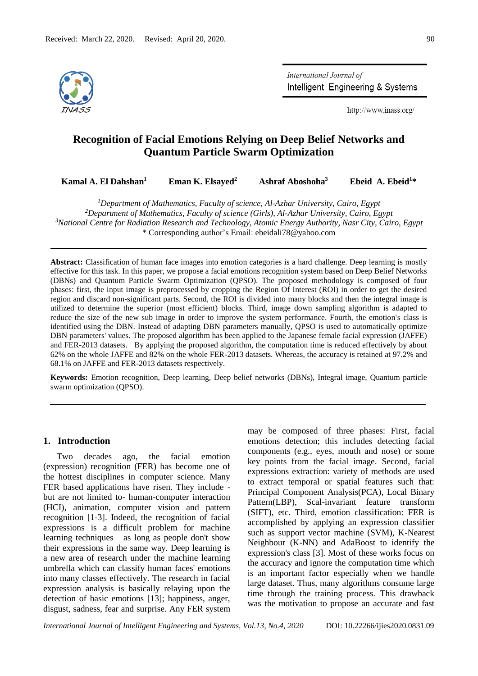

International Journal of Intelligent Engineering & Systems

http://www.inass.org/

# **Recognition of Facial Emotions Relying on Deep Belief Networks and Quantum Particle Swarm Optimization**

**Kamal A. El Dahshan<sup>1</sup> Eman K. Elsayed<sup>2</sup> Ashraf Aboshoha<sup>3</sup> Ebeid A. Ebeid<sup>1</sup>\***

*Department of Mathematics, Faculty of science, Al-Azhar University, Cairo, Egypt Department of Mathematics, Faculty of science (Girls), Al-Azhar University, Cairo, Egypt National Centre for Radiation Research and Technology, Atomic Energy Authority, Nasr City, Cairo, Egypt* \* Corresponding author's Email: ebeidali78@yahoo.com

**Abstract:** Classification of human face images into emotion categories is a hard challenge. Deep learning is mostly effective for this task. In this paper, we propose a facial emotions recognition system based on Deep Belief Networks (DBNs) and Quantum Particle Swarm Optimization (QPSO). The proposed methodology is composed of four phases: first, the input image is preprocessed by cropping the Region Of Interest (ROI) in order to get the desired region and discard non-significant parts. Second, the ROI is divided into many blocks and then the integral image is utilized to determine the superior (most efficient) blocks. Third, image down sampling algorithm is adapted to reduce the size of the new sub image in order to improve the system performance. Fourth, the emotion's class is identified using the DBN. Instead of adapting DBN parameters manually, QPSO is used to automatically optimize DBN parameters' values. The proposed algorithm has been applied to the Japanese female facial expression (JAFFE) and FER-2013 datasets. By applying the proposed algorithm, the computation time is reduced effectively by about 62% on the whole JAFFE and 82% on the whole FER-2013 datasets. Whereas, the accuracy is retained at 97.2% and 68.1% on JAFFE and FER-2013 datasets respectively.

**Keywords:** Emotion recognition, Deep learning, Deep belief networks (DBNs), Integral image, Quantum particle swarm optimization (QPSO).

## **1. Introduction**

Two decades ago, the facial emotion (expression) recognition (FER) has become one of the hottest disciplines in computer science. Many FER based applications have risen. They include but are not limited to- human-computer interaction (HCI), animation, computer vision and pattern recognition [1-3]. Indeed, the recognition of facial expressions is a difficult problem for machine learning techniques as long as people don't show their expressions in the same way. Deep learning is a new area of research under the machine learning umbrella which can classify human faces' emotions into many classes effectively. The research in facial expression analysis is basically relaying upon the detection of basic emotions [13]; happiness, anger, disgust, sadness, fear and surprise. Any FER system may be composed of three phases: First, facial emotions detection; this includes detecting facial components (e.g., eyes, mouth and nose) or some key points from the facial image. Second, facial expressions extraction: variety of methods are used to extract temporal or spatial features such that: Principal Component Analysis(PCA), Local Binary Pattern(LBP), Scal-invariant feature transform (SIFT), etc. Third, emotion classification: FER is accomplished by applying an expression classifier such as support vector machine (SVM), K-Nearest Neighbour (K-NN) and AdaBoost to identify the expression's class [3]. Most of these works focus on the accuracy and ignore the computation time which is an important factor especially when we handle large dataset. Thus, many algorithms consume large time through the training process. This drawback was the motivation to propose an accurate and fast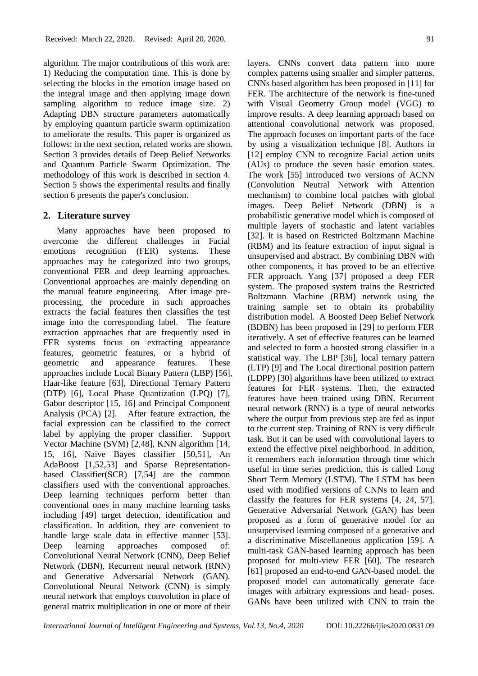algorithm. The major contributions of this work are: 1) Reducing the computation time. This is done by selecting the blocks in the emotion image based on the integral image and then applying image down sampling algorithm to reduce image size. 2) Adapting DBN structure parameters automatically by employing quantum particle swarm optimization to ameliorate the results. This paper is organized as follows: in the next section, related works are shown. Section 3 provides details of Deep Belief Networks and Quantum Particle Swarm Optimization. The methodology of this work is described in section 4. Section 5 shows the experimental results and finally section 6 presents the paper's conclusion.

#### **2. Literature survey**

Many approaches have been proposed to overcome the different challenges in Facial emotions recognition (FER) systems. These approaches may be categorized into two groups, conventional FER and deep learning approaches. Conventional approaches are mainly depending on the manual feature engineering. After image preprocessing, the procedure in such approaches extracts the facial features then classifies the test image into the corresponding label. The feature extraction approaches that are frequently used in FER systems focus on extracting appearance features, geometric features, or a hybrid of geometric and appearance features. These approaches include Local Binary Pattern (LBP) [56], Haar-like feature [63], Directional Ternary Pattern (DTP) [6], Local Phase Quantization (LPQ) [7], Gabor descriptor [15, 16] and Principal Component Analysis (PCA) [2]. After feature extraction, the facial expression can be classified to the correct label by applying the proper classifier. Support Vector Machine (SVM) [2,48], KNN algorithm [14, 15, 16], Naive Bayes classifier [50,51], An AdaBoost [1,52,53] and Sparse Representationbased Classifier(SCR) [7,54] are the common classifiers used with the conventional approaches. Deep learning techniques perform better than conventional ones in many machine learning tasks including [49] target detection, identification and classification. In addition, they are convenient to handle large scale data in effective manner [53]. Deep learning approaches composed of: Convolutional Neural Network (CNN), Deep Belief Network (DBN), Recurrent neural network (RNN) and Generative Adversarial Network (GAN). Convolutional Neural Network (CNN) is simply neural network that employs convolution in place of general matrix multiplication in one or more of their

layers. CNNs convert data pattern into more complex patterns using smaller and simpler patterns. CNNs based algorithm has been proposed in [11] for FER. The architecture of the network is fine-tuned with Visual Geometry Group model (VGG) to improve results. A deep learning approach based on attentional convolutional network was proposed. The approach focuses on important parts of the face by using a visualization technique [8]. Authors in [12] employ CNN to recognize Facial action units (AUs) to produce the seven basic emotion states. The work [55] introduced two versions of ACNN (Convolution Neutral Network with Attention mechanism) to combine local patches with global images. Deep Belief Network (DBN) is a probabilistic generative model which is composed of multiple layers of stochastic and latent variables [32]. It is based on Restricted Boltzmann Machine (RBM) and its feature extraction of input signal is unsupervised and abstract. By combining DBN with other components, it has proved to be an effective FER approach. Yang [37] proposed a deep FER system. The proposed system trains the Restricted Boltzmann Machine (RBM) network using the training sample set to obtain its probability distribution model. A Boosted Deep Belief Network (BDBN) has been proposed in [29] to perform FER iteratively. A set of effective features can be learned and selected to form a boosted strong classifier in a statistical way. The LBP [36], local ternary pattern (LTP) [9] and The Local directional position pattern (LDPP) [30] algorithms have been utilized to extract features for FER systems. Then, the extracted features have been trained using DBN. Recurrent neural network (RNN) is a type of neural networks where the output from previous step are fed as input to the current step. Training of RNN is very difficult task. But it can be used with convolutional layers to extend the effective pixel neighborhood. In addition, it remembers each information through time which useful in time series prediction, this is called Long Short Term Memory (LSTM). The LSTM has been used with modified versions of CNNs to learn and classify the features for FER systems [4, 24, 57]. Generative Adversarial Network (GAN) has been proposed as a form of generative model for an unsupervised learning composed of a generative and a discriminative Miscellaneous application [59]. A multi-task GAN-based learning approach has been proposed for multi-view FER [60]. The research [61] proposed an end-to-end GAN-based model. the proposed model can automatically generate face images with arbitrary expressions and head- poses. GANs have been utilized with CNN to train the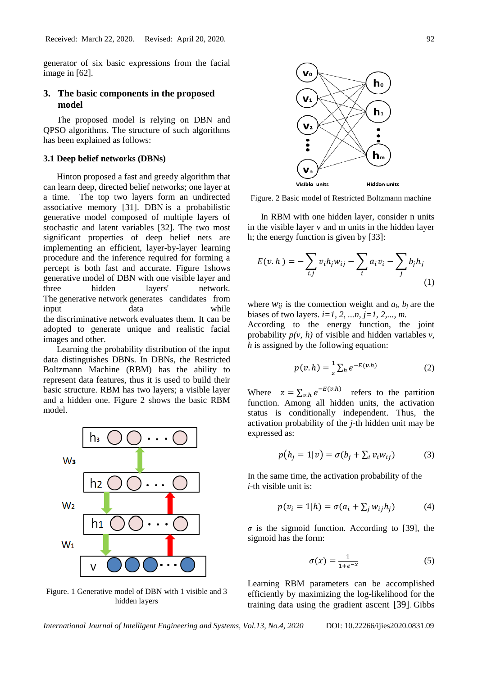generator of six basic expressions from the facial image in [62].

## **3. The basic components in the proposed model**

The proposed model is relying on DBN and QPSO algorithms. The structure of such algorithms has been explained as follows:

#### **3.1 Deep belief networks (DBNs)**

Hinton proposed a fast and greedy algorithm that can learn deep, directed belief networks; one layer at a time. The top two layers form an undirected associative memory [31]. DBN is a probabilistic generative model composed of multiple layers of stochastic and latent variables [32]. The two most significant properties of deep belief nets are implementing an efficient, layer-by-layer learning procedure and the inference required for forming a percept is both fast and accurate. Figure 1shows generative model of DBN with one visible layer and three hidden layers' network. The generative network generates candidates from input data while the discriminative network evaluates them. It can be adopted to generate unique and realistic facial images and other.

Learning the probability distribution of the input data distinguishes DBNs. In DBNs, the Restricted Boltzmann Machine (RBM) has the ability to represent data features, thus it is used to build their basic structure. RBM has two layers; a visible layer and a hidden one. Figure 2 shows the basic RBM model.



Figure. 1 Generative model of DBN with 1 visible and 3 hidden layers



Figure. 2 Basic model of Restricted Boltzmann machine

In RBM with one hidden layer, consider n units in the visible layer v and m units in the hidden layer h; the energy function is given by [33]:

$$
E(v,h) = -\sum_{i,j} v_i h_j w_{ij} - \sum_i a_i v_i - \sum_j b_j h_j
$$
\n(1)

where  $W_{ij}$  is the connection weight and  $a_i$ ,  $b_i$  are the biases of two layers.  $i=1, 2, ..., n$ ,  $j=1, 2, ..., m$ .

According to the energy function, the joint probability  $p(v, h)$  of visible and hidden variables  $v$ , *h* is assigned by the following equation:

$$
p(v,h) = \frac{1}{z} \sum_{h} e^{-E(v,h)} \tag{2}
$$

Where  $z = \sum_{v,h} e^{-E(v,h)}$  refers to the partition function. Among all hidden units, the activation status is conditionally independent. Thus, the activation probability of the *j*-th hidden unit may be expressed as:

$$
p(h_j = 1|v) = \sigma(b_j + \sum_i v_i w_{ij})
$$
 (3)

In the same time, the activation probability of the *i*-th visible unit is:

$$
p(v_i = 1|h) = \sigma(a_i + \sum_j w_{ij}h_j)
$$
 (4)

 $\sigma$  is the sigmoid function. According to [39], the sigmoid has the form:

$$
\sigma(x) = \frac{1}{1 + e^{-x}}\tag{5}
$$

Learning RBM parameters can be accomplished efficiently by maximizing the log-likelihood for the training data using the gradient ascent [39]. Gibbs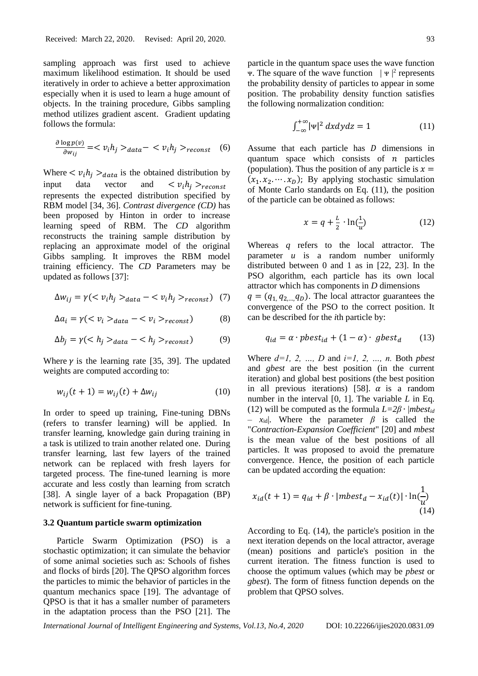sampling approach was first used to achieve maximum likelihood estimation. It should be used iteratively in order to achieve a better approximation especially when it is used to learn a huge amount of objects. In the training procedure, Gibbs sampling method utilizes gradient ascent. Gradient updating follows the formula:

$$
\frac{\partial \log p(v)}{\partial w_{ij}} = \langle v_i h_j \rangle_{data} - \langle v_i h_j \rangle_{reconst} \quad (6)
$$

Where  $\langle v_i h_j \rangle_{data}$  is the obtained distribution by input data vector and  $\langle v_i h_j \rangle_{reconst}$ represents the expected distribution specified by RBM model [34, 36]. *Contrast divergence (CD)* has been proposed by Hinton in order to increase learning speed of RBM. The *CD* algorithm reconstructs the training sample distribution by replacing an approximate model of the original Gibbs sampling. It improves the RBM model training efficiency. The *CD* Parameters may be updated as follows [37]:

$$
\Delta w_{ij} = \gamma \left( \langle v_i h_j \rangle_{data} - \langle v_i h_j \rangle_{reconst} \right) \tag{7}
$$

$$
\Delta a_i = \gamma \left( \langle v_i \rangle_{data} - \langle v_i \rangle_{reconst} \right) \tag{8}
$$

$$
\Delta b_j = \gamma \left( \langle h_j \rangle_{data} - \langle h_j \rangle_{reconst} \right) \tag{9}
$$

Where  $\nu$  is the learning rate [35, 39]. The updated weights are computed according to:

$$
w_{ij}(t+1) = w_{ij}(t) + \Delta w_{ij}
$$
 (10)

In order to speed up training, Fine-tuning DBNs (refers to transfer learning) will be applied. In transfer learning, knowledge gain during training in a task is utilized to train another related one. During transfer learning, last few layers of the trained network can be replaced with fresh layers for targeted process. The fine-tuned learning is more accurate and less costly than learning from scratch [38]. A single layer of a back Propagation (BP) network is sufficient for fine-tuning.

#### **3.2 Quantum particle swarm optimization**

Particle Swarm Optimization (PSO) is a stochastic optimization; it can simulate the behavior of some animal societies such as: Schools of fishes and flocks of birds [20]. The QPSO algorithm forces the particles to mimic the behavior of particles in the quantum mechanics space [19]. The advantage of QPSO is that it has a smaller number of parameters in the adaptation process than the PSO [21]. The particle in the quantum space uses the wave function  $\Psi$ . The square of the wave function  $|\Psi|^2$  represents the probability density of particles to appear in some position. The probability density function satisfies the following normalization condition:

$$
\int_{-\infty}^{+\infty} |\Psi|^2 \, dxdydz = 1 \tag{11}
$$

Assume that each particle has  $D$  dimensions in quantum space which consists of  $n$  particles (population). Thus the position of any particle is  $x =$  $(x_1, x_2, \dots, x_n)$ ; By applying stochastic simulation of Monte Carlo standards on Eq. (11), the position of the particle can be obtained as follows:

$$
x = q + \frac{L}{2} \cdot \ln(\frac{1}{u})
$$
 (12)

Whereas *q* refers to the local attractor. The parameter *u* is a random number uniformly distributed between 0 and 1 as in [22, 23]. In the PSO algorithm, each particle has its own local attractor which has components in *D* dimensions  $q = (q_1 q_2 q_0)$ . The local attractor guarantees the convergence of the PSO to the correct position. It can be described for the *i*th particle by:

$$
q_{id} = \alpha \cdot pbest_{id} + (1 - \alpha) \cdot gbest_d \qquad (13)
$$

Where *d=1, 2, …, D* and *i=1, 2, …, n.* Both *pbest* and *gbest* are the best position (in the current iteration) and global best positions (the best position in all previous iterations) [58].  $\alpha$  is a random number in the interval [0, 1]. The variable *L* in Eq. (12) will be computed as the formula  $L=2\beta \cdot |mbest_{id}|$ *– x*id|. Where the parameter *β* is called the "*Contraction-Expansion Coefficient*" [20] and *mbest* is the mean value of the best positions of all particles. It was proposed to avoid the premature convergence. Hence, the position of each particle can be updated according the equation:

$$
x_{id}(t+1) = q_{id} + \beta \cdot |mbest_d - x_{id}(t)| \cdot \ln(\frac{1}{u})
$$
\n(14)

According to Eq. (14), the particle's position in the next iteration depends on the local attractor, average (mean) positions and particle's position in the current iteration. The fitness function is used to choose the optimum values (which may be *pbest* or *gbest*). The form of fitness function depends on the problem that QPSO solves.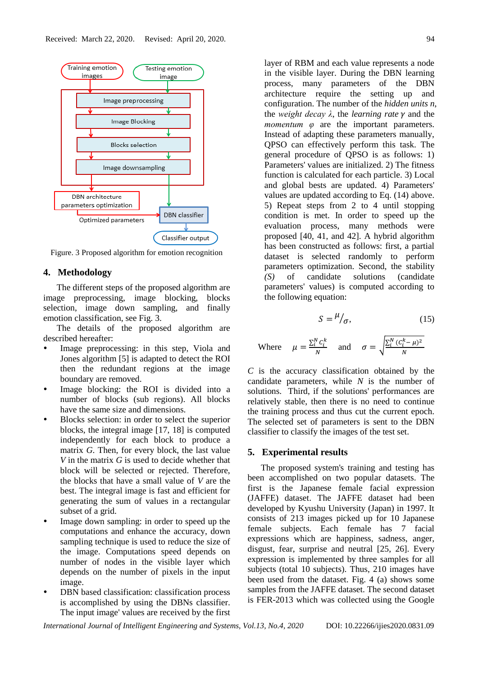

Figure. 3 Proposed algorithm for emotion recognition

#### **4. Methodology**

The different steps of the proposed algorithm are image preprocessing, image blocking, blocks selection, image down sampling, and finally emotion classification, see Fig. 3.

The details of the proposed algorithm are described hereafter:

- Image preprocessing: in this step, Viola and Jones algorithm [5] is adapted to detect the ROI then the redundant regions at the image boundary are removed.
- Image blocking: the ROI is divided into a number of blocks (sub regions). All blocks have the same size and dimensions.
- Blocks selection: in order to select the superior blocks, the integral image [17, 18] is computed independently for each block to produce a matrix *G*. Then, for every block, the last value *V* in the matrix *G* is used to decide whether that block will be selected or rejected. Therefore, the blocks that have a small value of *V* are the best. The integral image is fast and efficient for generating the sum of values in a rectangular subset of a grid.
- Image down sampling: in order to speed up the computations and enhance the accuracy, down sampling technique is used to reduce the size of the image. Computations speed depends on number of nodes in the visible layer which depends on the number of pixels in the input image.
- DBN based classification: classification process is accomplished by using the DBNs classifier. The input image' values are received by the first

layer of RBM and each value represents a node in the visible layer. During the DBN learning process, many parameters of the DBN architecture require the setting up and configuration. The number of the *hidden units n*, the *weight decay*  $\lambda$ , the *learning rate*  $\gamma$  and the *momentum φ* are the important parameters. Instead of adapting these parameters manually, QPSO can effectively perform this task. The general procedure of QPSO is as follows: 1) Parameters' values are initialized. 2) The fitness function is calculated for each particle. 3) Local and global bests are updated. 4) Parameters' values are updated according to Eq. (14) above. 5) Repeat steps from 2 to 4 until stopping condition is met. In order to speed up the evaluation process, many methods were proposed [40, 41, and 42]. A hybrid algorithm has been constructed as follows: first, a partial dataset is selected randomly to perform parameters optimization. Second, the stability *(S)* of candidate solutions (candidate parameters' values) is computed according to the following equation:

$$
S = \frac{\mu}{\sigma},\tag{15}
$$

Where 
$$
\mu = \frac{\sum_i^N c_i^k}{N}
$$
 and  $\sigma = \sqrt{\frac{\sum_i^N (C_i^k - \mu)^2}{N}}$ 

*C* is the accuracy classification obtained by the candidate parameters, while *N* is the number of solutions. Third, if the solutions' performances are relatively stable, then there is no need to continue the training process and thus cut the current epoch. The selected set of parameters is sent to the DBN classifier to classify the images of the test set.

#### **5. Experimental results**

The proposed system's training and testing has been accomplished on two popular datasets. The first is the Japanese female facial expression (JAFFE) dataset. The JAFFE dataset had been developed by Kyushu University (Japan) in 1997. It consists of 213 images picked up for 10 Japanese female subjects. Each female has 7 facial expressions which are happiness, sadness, anger, disgust, fear, surprise and neutral [25, 26]. Every expression is implemented by three samples for all subjects (total 10 subjects). Thus, 210 images have been used from the dataset. Fig. 4 (a) shows some samples from the JAFFE dataset. The second dataset is FER-2013 which was collected using the Google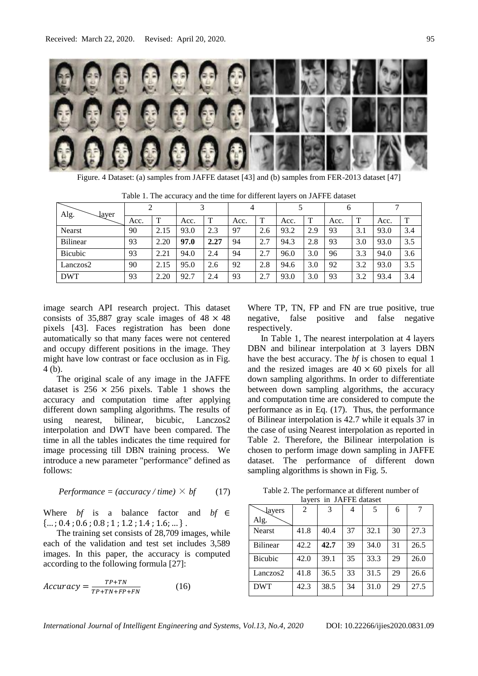

Figure. 4 Dataset: (a) samples from JAFFE dataset [43] and (b) samples from FER-2013 dataset [47]

| Alg.<br>layer   |      |      |      |      | 4    |              |      |     | 6    |     |      |              |
|-----------------|------|------|------|------|------|--------------|------|-----|------|-----|------|--------------|
|                 | Acc. | m    | Acc. | ௱    | Acc. | $\mathbf{T}$ | Acc. | ௱   | Acc. | T   | Acc. | $\mathbf{T}$ |
| <b>Nearst</b>   | 90   | 2.15 | 93.0 | 2.3  | 97   | 2.6          | 93.2 | 2.9 | 93   | 3.1 | 93.0 | 3.4          |
| <b>Bilinear</b> | 93   | 2.20 | 97.0 | 2.27 | 94   | 2.7          | 94.3 | 2.8 | 93   | 3.0 | 93.0 | 3.5          |
| <b>Bicubic</b>  | 93   | 2.21 | 94.0 | 2.4  | 94   | 2.7          | 96.0 | 3.0 | 96   | 3.3 | 94.0 | 3.6          |
| Lanczos2        | 90   | 2.15 | 95.0 | 2.6  | 92   | 2.8          | 94.6 | 3.0 | 92   | 3.2 | 93.0 | 3.5          |
| <b>DWT</b>      | 93   | 2.20 | 92.7 | 2.4  | 93   | 2.7          | 93.0 | 3.0 | 93   | 3.2 | 93.4 | 3.4          |

Table 1. The accuracy and the time for different layers on JAFFE dataset

image search API research project. This dataset consists of 35,887 gray scale images of  $48 \times 48$ pixels [43]. Faces registration has been done automatically so that many faces were not centered and occupy different positions in the image. They might have low contrast or face occlusion as in Fig. 4 (b).

The original scale of any image in the JAFFE dataset is  $256 \times 256$  pixels. Table 1 shows the accuracy and computation time after applying different down sampling algorithms. The results of using nearest, bilinear, bicubic, Lanczos2 interpolation and DWT have been compared. The time in all the tables indicates the time required for image processing till DBN training process. We introduce a new parameter "performance" defined as follows:

$$
Performance = (accuracy / time) \times bf
$$
 (17)

Where *bf* is a balance factor and *bf* ∈  ${..., 0.4; 0.6; 0.8; 1; 1.2; 1.4; 1.6; ...}.$ 

The training set consists of 28,709 images, while each of the validation and test set includes 3,589 images. In this paper, the accuracy is computed according to the following formula [27]:

$$
Accuracy = \frac{TP + TN}{TP + TN + FP + FN}
$$
 (16)

Where TP, TN, FP and FN are true positive, true negative, false positive and false negative respectively.

In Table 1, The nearest interpolation at 4 layers DBN and bilinear interpolation at 3 layers DBN have the best accuracy. The *bf* is chosen to equal 1 and the resized images are  $40 \times 60$  pixels for all down sampling algorithms. In order to differentiate between down sampling algorithms, the accuracy and computation time are considered to compute the performance as in Eq. (17). Thus, the performance of Bilinear interpolation is 42.7 while it equals 37 in the case of using Nearest interpolation as reported in Table 2. Therefore, the Bilinear interpolation is chosen to perform image down sampling in JAFFE dataset. The performance of different down sampling algorithms is shown in Fig. 5.

Table 2. The performance at different number of layers in JAFFE dataset

| 10 Y CL 3<br>111 JIM I LI GARASUR |      |      |    |      |    |      |  |
|-----------------------------------|------|------|----|------|----|------|--|
| <b><i><u>Aayers</u></i></b>       | 2    | 3    | 4  | .5   | 6  |      |  |
| Alg.                              |      |      |    |      |    |      |  |
| Nearst                            | 41.8 | 40.4 | 37 | 32.1 | 30 | 27.3 |  |
| <b>Bilinear</b>                   | 42.2 | 42.7 | 39 | 34.0 | 31 | 26.5 |  |
| <b>Bicubic</b>                    | 42.0 | 39.1 | 35 | 33.3 | 29 | 26.0 |  |
| Lanczos2                          | 41.8 | 36.5 | 33 | 31.5 | 29 | 26.6 |  |
| <b>DWT</b>                        | 42.3 | 38.5 | 34 | 31.0 | 29 | 27.5 |  |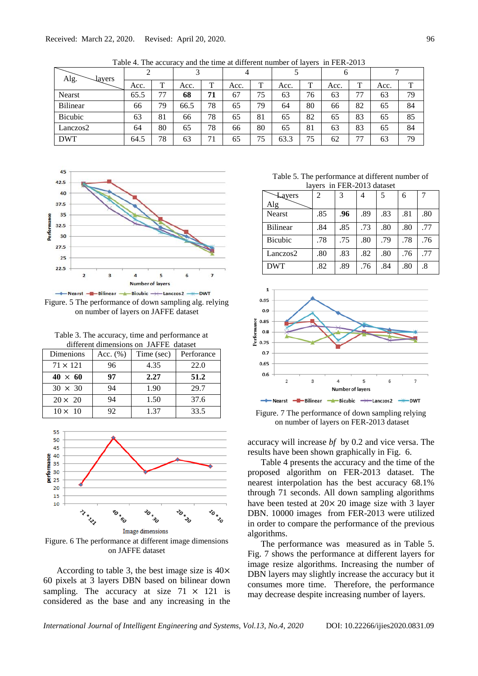| Alg.<br>layers  |      |    | $\mathbf{\overline{3}}$ |    | 4    |              |      |              | b    |              |      |    |
|-----------------|------|----|-------------------------|----|------|--------------|------|--------------|------|--------------|------|----|
|                 | Acc. | T  | Acc.                    | T  | Acc. | $\mathbf{T}$ | Acc. | $\mathbf{T}$ | Acc. | $\mathbf{r}$ | Acc. | m  |
| Nearst          | 65.5 | 77 | 68                      | 71 | 67   | 75           | 63   | 76           | 63   | 77           | 63   | 79 |
| <b>Bilinear</b> | 66   | 79 | 66.5                    | 78 | 65   | 79           | 64   | 80           | 66   | 82           | 65   | 84 |
| <b>Bicubic</b>  | 63   | 81 | 66                      | 78 | 65   | 81           | 65   | 82           | 65   | 83           | 65   | 85 |
| Lanczos2        | 64   | 80 | 65                      | 78 | 66   | 80           | 65   | 81           | 63   | 83           | 65   | 84 |
| <b>DWT</b>      | 64.5 | 78 | 63                      | 71 | 65   | 75           | 63.3 | 75           | 62   | 77           | 63   | 79 |

Table 4. The accuracy and the time at different number of layers in FER-2013



Figure. 5 The performance of down sampling alg. relying on number of layers on JAFFE dataset

Table 3. The accuracy, time and performance at different dimensions on JAFFE dataset

| Dimenions       | Acc. $(\% )$ | Time (sec) | Perforance |  |  |  |
|-----------------|--------------|------------|------------|--|--|--|
| $71 \times 121$ | 96           | 4.35       | 22.0       |  |  |  |
| $40 \times 60$  | 97           | 2.27       | 51.2       |  |  |  |
| $30 \times 30$  | 94           | 1.90       | 29.7       |  |  |  |
| $20 \times 20$  | 94           | 1.50       | 37.6       |  |  |  |
| $10 \times 10$  | 92           | 1.37       | 33.5       |  |  |  |



Figure. 6 The performance at different image dimensions on JAFFE dataset

According to table 3, the best image size is 40× 60 pixels at 3 layers DBN based on bilinear down sampling. The accuracy at size  $71 \times 121$  is considered as the base and any increasing in the

Table 5. The performance at different number of layers in FER-2013 dataset

| Layers<br>Alg   | 2   | 3   |     |     | 6   |     |
|-----------------|-----|-----|-----|-----|-----|-----|
|                 |     |     |     |     |     |     |
| <b>Nearst</b>   | .85 | .96 | .89 | .83 | .81 | .80 |
| <b>Bilinear</b> | .84 | .85 | .73 | .80 | .80 | .77 |
| <b>Bicubic</b>  | .78 | .75 | .80 | .79 | .78 | .76 |
| Lanczos2        | .80 | .83 | .82 | .80 | .76 | .77 |
| <b>DWT</b>      | .82 | .89 | .76 | .84 | .80 | .8  |



Figure. 7 The performance of down sampling relying on number of layers on FER-2013 dataset

accuracy will increase *bf* by 0.2 and vice versa. The results have been shown graphically in Fig. 6.

Table 4 presents the accuracy and the time of the proposed algorithm on FER-2013 dataset. The nearest interpolation has the best accuracy 68.1% through 71 seconds. All down sampling algorithms have been tested at 20× 20 image size with 3 layer DBN. 10000 images from FER-2013 were utilized in order to compare the performance of the previous algorithms.

The performance was measured as in Table 5. Fig. 7 shows the performance at different layers for image resize algorithms. Increasing the number of DBN layers may slightly increase the accuracy but it consumes more time. Therefore, the performance may decrease despite increasing number of layers.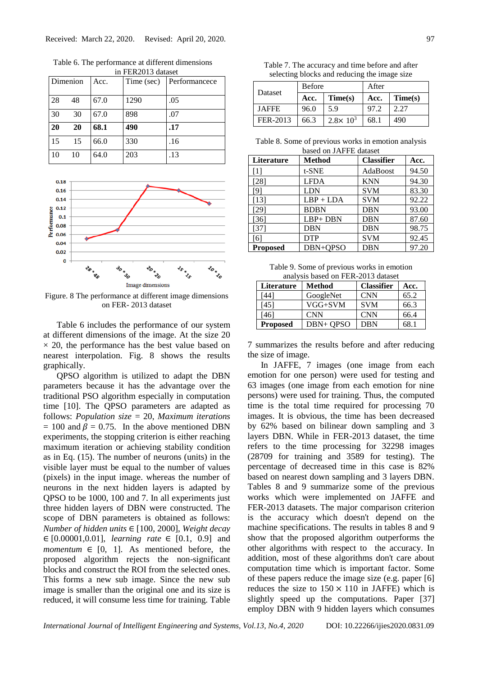| 111 1 DIVOID GAUGOU |          |      |            |               |  |  |
|---------------------|----------|------|------------|---------------|--|--|
|                     | Dimenion | Acc. | Time (sec) | Performancece |  |  |
| 28                  | 48       | 67.0 | 1290       | .05           |  |  |
| 30                  | 30       | 67.0 | 898        | .07           |  |  |
| 20                  | 20       | 68.1 | 490        | .17           |  |  |
| 15                  | 15       | 66.0 | 330        | .16           |  |  |
| 10                  | 10       | 64.0 | 203        | .13           |  |  |

Table 6. The performance at different dimensions in FER2013 dataset



Figure. 8 The performance at different image dimensions on FER- 2013 dataset

Table 6 includes the performance of our system at different dimensions of the image. At the size 20  $\times$  20, the performance has the best value based on nearest interpolation. Fig. 8 shows the results graphically.

QPSO algorithm is utilized to adapt the DBN parameters because it has the advantage over the traditional PSO algorithm especially in computation time [10]. The QPSO parameters are adapted as follows: *Population size* = 20, *Maximum iterations*  $= 100$  and  $\beta = 0.75$ . In the above mentioned DBN experiments, the stopping criterion is either reaching maximum iteration or achieving stability condition as in Eq. (15). The number of neurons (units) in the visible layer must be equal to the number of values (pixels) in the input image. whereas the number of neurons in the next hidden layers is adapted by QPSO to be 1000, 100 and 7. In all experiments just three hidden layers of DBN were constructed. The scope of DBN parameters is obtained as follows: *Number of hidden units* ∈ [100, 2000], *Weight decay* ∈ [0.00001,0.01], *learning rate* ∈ [0.1, 0.9] and *momentum*  $\in$  [0, 1]. As mentioned before, the proposed algorithm rejects the non-significant blocks and construct the ROI from the selected ones. This forms a new sub image. Since the new sub image is smaller than the original one and its size is reduced, it will consume less time for training. Table

| Table 7. The accuracy and time before and after |  |
|-------------------------------------------------|--|
| selecting blocks and reducing the image size    |  |

|              | <b>Before</b> |                     | After |         |  |
|--------------|---------------|---------------------|-------|---------|--|
| Dataset      | Acc.          | Time(s)             | Acc.  | Time(s) |  |
| <b>JAFFE</b> | 96.0          | 5.9                 | 97.2  | 2.27    |  |
| FER-2013     | 66.3          | $2.8 \times 10^{3}$ | 68.1  | 490     |  |

Table 8. Some of previous works in emotion analysis based on JAFFE dataset

| <b>Literature</b> | <b>Method</b> | <b>Classifier</b> | Acc.  |
|-------------------|---------------|-------------------|-------|
| $\lceil 1 \rceil$ | t-SNE         | AdaBoost          | 94.50 |
| $[28]$            | <b>LFDA</b>   | <b>KNN</b>        | 94.30 |
| [9]               | LDN           | <b>SVM</b>        | 83.30 |
| $[13]$            | $LBP + LDA$   | <b>SVM</b>        | 92.22 |
| $[29]$            | <b>BDBN</b>   | <b>DBN</b>        | 93.00 |
| [36]              | LBP+DBN       | <b>DBN</b>        | 87.60 |
| $[37]$            | <b>DBN</b>    | <b>DBN</b>        | 98.75 |
| [6]               | <b>DTP</b>    | <b>SVM</b>        | 92.45 |
| <b>Proposed</b>   | DBN+QPSO      | <b>DBN</b>        | 97.20 |

Table 9. Some of previous works in emotion analysis based on FER-2013 dataset

| <b>Literature</b> | Method     | <b>Classifier</b> | Acc. |
|-------------------|------------|-------------------|------|
| [44]              | GoogleNet  | <b>CNN</b>        | 65.2 |
| [45]              | VGG+SVM    | <b>SVM</b>        | 66.3 |
| [46]              | <b>CNN</b> | <b>CNN</b>        | 66.4 |
| <b>Proposed</b>   | DBN+ OPSO  | <b>DBN</b>        | 68.1 |

7 summarizes the results before and after reducing the size of image.

In JAFFE, 7 images (one image from each emotion for one person) were used for testing and 63 images (one image from each emotion for nine persons) were used for training. Thus, the computed time is the total time required for processing 70 images. It is obvious, the time has been decreased by 62% based on bilinear down sampling and 3 layers DBN. While in FER-2013 dataset, the time refers to the time processing for 32298 images (28709 for training and 3589 for testing). The percentage of decreased time in this case is 82% based on nearest down sampling and 3 layers DBN. Tables 8 and 9 summarize some of the previous works which were implemented on JAFFE and FER-2013 datasets. The major comparison criterion is the accuracy which doesn't depend on the machine specifications. The results in tables 8 and 9 show that the proposed algorithm outperforms the other algorithms with respect to the accuracy. In addition, most of these algorithms don't care about computation time which is important factor. Some of these papers reduce the image size (e.g. paper [6] reduces the size to  $150 \times 110$  in JAFFE) which is slightly speed up the computations. Paper [37] employ DBN with 9 hidden layers which consumes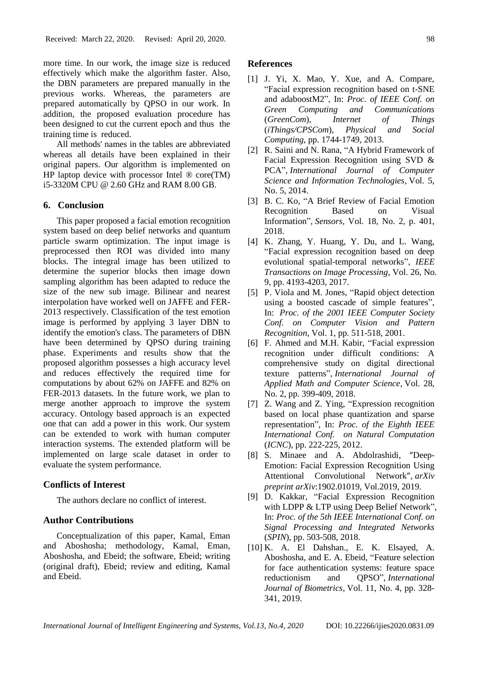more time. In our work, the image size is reduced effectively which make the algorithm faster. Also, the DBN parameters are prepared manually in the previous works. Whereas, the parameters are prepared automatically by QPSO in our work. In addition, the proposed evaluation procedure has been designed to cut the current epoch and thus the training time is reduced.

All methods' names in the tables are abbreviated whereas all details have been explained in their original papers. Our algorithm is implemented on HP laptop device with processor Intel  $\mathcal D$  core(TM) i5-3320M CPU @ 2.60 GHz and RAM 8.00 GB.

### **6. Conclusion**

This paper proposed a facial emotion recognition system based on deep belief networks and quantum particle swarm optimization. The input image is preprocessed then ROI was divided into many blocks. The integral image has been utilized to determine the superior blocks then image down sampling algorithm has been adapted to reduce the size of the new sub image. Bilinear and nearest interpolation have worked well on JAFFE and FER-2013 respectively. Classification of the test emotion image is performed by applying 3 layer DBN to identify the emotion's class. The parameters of DBN have been determined by QPSO during training phase. Experiments and results show that the proposed algorithm possesses a high accuracy level and reduces effectively the required time for computations by about 62% on JAFFE and 82% on FER-2013 datasets. In the future work, we plan to merge another approach to improve the system accuracy. Ontology based approach is an expected one that can add a power in this work. Our system can be extended to work with human computer interaction systems. The extended platform will be implemented on large scale dataset in order to evaluate the system performance.

### **Conflicts of Interest**

The authors declare no conflict of interest.

#### **Author Contributions**

Conceptualization of this paper, Kamal, Eman and Aboshosha; methodology, Kamal, Eman, Aboshosha, and Ebeid; the software, Ebeid; writing (original draft), Ebeid; review and editing, Kamal and Ebeid.

#### **References**

- [1] J. Yi, X. Mao, Y. Xue, and A. Compare, "Facial expression recognition based on t-SNE and adaboostM2", In: *Proc. of IEEE Conf. on Green Computing and Communications*  (*GreenCom*)*, Internet of Things*  (*iThings/CPSCom*)*, Physical and Social Computing*, pp. 1744-1749, 2013.
- [2] R. Saini and N. Rana, "A Hybrid Framework of Facial Expression Recognition using SVD & PCA", *International Journal of Computer Science and Information Technologies*, Vol. 5, No. 5, 2014.
- [3] B. C. Ko, "A Brief Review of Facial Emotion Recognition Based on Visual Information", *Sensors*, Vol. 18, No. 2, p. 401, 2018.
- [4] K. Zhang, Y. Huang, Y. Du, and L. Wang, "Facial expression recognition based on deep evolutional spatial-temporal networks", *IEEE Transactions on Image Processing*, Vol. 26, No. 9, pp. 4193-4203, 2017.
- [5] P. Viola and M. Jones, "Rapid object detection using a boosted cascade of simple features", In: *Proc. of the 2001 IEEE Computer Society Conf. on Computer Vision and Pattern Recognition*, Vol. 1, pp. 511-518, 2001.
- [6] F. Ahmed and M.H. Kabir, "Facial expression recognition under difficult conditions: A comprehensive study on digital directional texture patterns", *International Journal of Applied Math and Computer Science*, Vol. 28, No. 2, pp. 399-409, 2018.
- [7] Z. Wang and Z. Ying, "Expression recognition" based on local phase quantization and sparse representation", In: *Proc. of the Eighth IEEE International Conf. on Natural Computation* (*ICNC*), pp. 222-225, 2012.
- [8] S. Minaee and A. Abdolrashidi, "Deep-Emotion: Facial Expression Recognition Using Attentional Convolutional Network", *arXiv preprint arXiv*:1902.01019, Vol.2019, 2019.
- [9] D. Kakkar, "Facial Expression Recognition with LDPP & LTP using Deep Belief Network". In: *Proc. of the 5th IEEE International Conf. on Signal Processing and Integrated Networks* (*SPIN*), pp. 503-508, 2018.
- [10] K. A. El Dahshan., E. K. Elsayed, A. Aboshosha, and E. A. Ebeid, "Feature selection for face authentication systems: feature space reductionism and QPSO", *International Journal of Biometrics*, Vol. 11, No. 4, pp. 328- 341, 2019.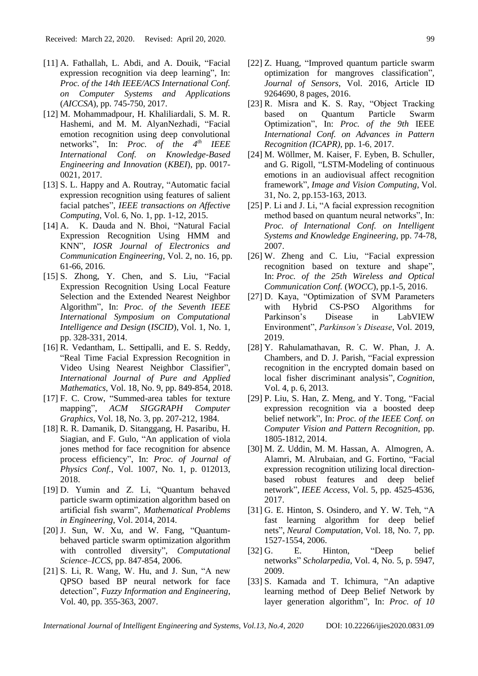- [11] A. Fathallah, L. Abdi, and A. Douik, "Facial expression recognition via deep learning", In: *Proc. of the 14th IEEE/ACS International Conf. on Computer Systems and Applications* (*AICCSA*), pp. 745-750, 2017.
- [12] M. Mohammadpour, H. Khaliliardali, S. M. R. Hashemi, and M. M. AlyanNezhadi, "Facial emotion recognition using deep convolutional networks", In: *Proc. of the 4th IEEE International Conf. on Knowledge-Based Engineering and Innovation* (*KBEI*), pp. 0017- 0021, 2017.
- [13] S. L. Happy and A. Routray, "Automatic facial expression recognition using features of salient facial patches", *IEEE transactions on Affective Computing*, Vol. 6, No. 1, pp. 1-12, 2015.
- [14] A. K. Dauda and N. Bhoi, "Natural Facial Expression Recognition Using HMM and KNN", *IOSR Journal of Electronics and Communication Engineering*, Vol. 2, no. 16, pp. 61-66, 2016.
- [15] S. Zhong, Y. Chen, and S. Liu, "Facial Expression Recognition Using Local Feature Selection and the Extended Nearest Neighbor Algorithm", In: *Proc. of the Seventh IEEE International Symposium on Computational Intelligence and Design* (*ISCID*), Vol. 1, No. 1, pp. 328-331, 2014.
- [16] R. Vedantham, L. Settipalli, and E. S. Reddy, "Real Time Facial Expression Recognition in Video Using Nearest Neighbor Classifier", *International Journal of Pure and Applied Mathematics*, Vol. 18, No. 9, pp. 849-854, 2018.
- [17] F. C. Crow, "Summed-area tables for texture mapping", *ACM SIGGRAPH Computer Graphics*, Vol. 18, No. 3, pp. 207-212, 1984.
- [18] R. R. Damanik, D. Sitanggang, H. Pasaribu, H. Siagian, and F. Gulo, "An application of viola jones method for face recognition for absence process efficiency", In: *Proc. of Journal of Physics Conf.*, Vol. 1007, No. 1, p. 012013, 2018.
- [19] D. Yumin and Z. Li, "Quantum behaved particle swarm optimization algorithm based on artificial fish swarm", *Mathematical Problems in Engineering*, Vol. 2014, 2014.
- [20] J. Sun, W. Xu, and W. Fang, "Quantumbehaved particle swarm optimization algorithm with controlled diversity", *Computational Science–ICCS*, pp. 847-854, 2006.
- [21] S. Li, R. Wang, W. Hu, and J. Sun, "A new QPSO based BP neural network for face detection", *Fuzzy Information and Engineering*, Vol. 40, pp. 355-363, 2007.
- [22] Z. Huang, "Improved quantum particle swarm optimization for mangroves classification", *Journal of Sensors*, Vol. 2016, Article ID 9264690, 8 pages, 2016.
- [23] R. Misra and K. S. Ray, "Object Tracking based on Quantum Particle Swarm Optimization", In: *Proc. of the 9th* IEEE *International Conf. on Advances in Pattern Recognition (ICAPR)*, pp. 1-6, 2017.
- [24] M. Wöllmer, M. Kaiser, F. Eyben, B. Schuller, and G. Rigoll, "LSTM-Modeling of continuous emotions in an audiovisual affect recognition framework", *Image and Vision Computing*, Vol. 31, No. 2, pp.153-163, 2013.
- [25] P. Li and J. Li, "A facial expression recognition method based on quantum neural networks", In: *Proc. of International Conf. on Intelligent Systems and Knowledge Engineering,* pp. 74-78, 2007.
- [26] W. Zheng and C. Liu, "Facial expression recognition based on texture and shape", In: *Proc. of the 25th Wireless and Optical Communication Conf.* (*WOCC*), pp.1-5, 2016.
- [27] D. Kaya, "Optimization of SVM Parameters with Hybrid CS-PSO Algorithms for Parkinson's Disease in LabVIEW Environment", *Parkinson's Disease*, Vol. 2019, 2019.
- [28] Y. Rahulamathavan, R. C. W. Phan, J. A. Chambers, and D. J. Parish, "Facial expression recognition in the encrypted domain based on local fisher discriminant analysis", *Cognition*, Vol. 4, p. 6, 2013.
- [29] P. Liu, S. Han, Z. Meng, and Y. Tong, "Facial expression recognition via a boosted deep belief network", In: *Proc. of the IEEE Conf. on Computer Vision and Pattern Recognition*, pp. 1805-1812, 2014.
- [30] M. Z. Uddin, M. M. Hassan, A. Almogren, A. Alamri, M. Alrubaian, and G. Fortino, "Facial expression recognition utilizing local directionbased robust features and deep belief network", *IEEE Access*, Vol. 5, pp. 4525-4536, 2017.
- [31] G. E. Hinton, S. Osindero, and Y. W. Teh, "A fast learning algorithm for deep belief nets", *Neural Computation*, Vol. 18, No. 7, pp. 1527-1554, 2006.
- [32] G. E. Hinton, "Deep belief networks" *Scholarpedia*, Vol. 4, No. 5, p. 5947, 2009.
- [33] S. Kamada and T. Ichimura, "An adaptive learning method of Deep Belief Network by layer generation algorithm", In: *Proc. of 10*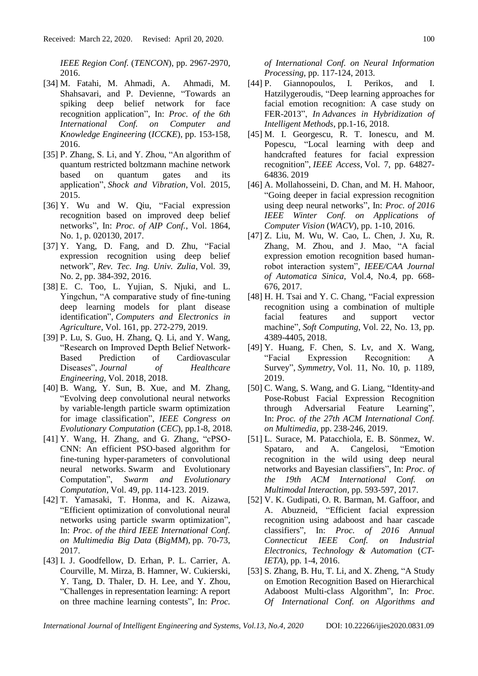*IEEE Region Conf.* (*TENCON*), pp. 2967-2970, 2016.

- [34] M. Fatahi, M. Ahmadi, A. Ahmadi, M. Shahsavari, and P. Devienne, "Towards an spiking deep belief network for face recognition application", In: *Proc. of the 6th International Conf. on Computer and Knowledge Engineering* (*ICCKE*), pp. 153-158, 2016.
- [35] P. Zhang, S. Li, and Y. Zhou, "An algorithm of quantum restricted boltzmann machine network based on quantum gates and its application", *Shock and Vibration*, Vol. 2015, 2015.
- [36] Y. Wu and W. Qiu, "Facial expression recognition based on improved deep belief networks", In: *Proc. of AIP Conf.*, Vol. 1864, No. 1, p. 020130, 2017.
- [37] Y. Yang, D. Fang, and D. Zhu, "Facial expression recognition using deep belief network", *Rev. Tec. Ing. Univ. Zulia*, Vol. 39, No. 2, pp. 384-392, 2016.
- [38] E. C. Too, L. Yujian, S. Njuki, and L. Yingchun, "A comparative study of fine-tuning deep learning models for plant disease identification", *Computers and Electronics in Agriculture*, Vol. 161, pp. 272-279, 2019.
- [39] P. Lu, S. Guo, H. Zhang, Q. Li, and Y. Wang, "Research on Improved Depth Belief Network-Based Prediction of Cardiovascular Diseases", *Journal of Healthcare Engineering*, Vol. 2018, 2018.
- [40] B. Wang, Y. Sun, B. Xue, and M. Zhang, "Evolving deep convolutional neural networks by variable-length particle swarm optimization for image classification", *IEEE Congress on Evolutionary Computation* (*CEC*), pp.1-8, 2018.
- [41] Y. Wang, H. Zhang, and G. Zhang, "cPSO-CNN: An efficient PSO-based algorithm for fine-tuning hyper-parameters of convolutional neural networks. Swarm and Evolutionary Computation", *Swarm and Evolutionary Computation*, Vol. 49, pp. 114-123. 2019.
- [42] T. Yamasaki, T. Honma, and K. Aizawa, "Efficient optimization of convolutional neural networks using particle swarm optimization", In: *Proc. of the third IEEE International Conf. on Multimedia Big Data* (*BigMM*), pp. 70-73, 2017.
- [43] I. J. Goodfellow, D. Erhan, P. L. Carrier, A. Courville, M. Mirza, B. Hamner, W. Cukierski, Y. Tang, D. Thaler, D. H. Lee, and Y. Zhou, "Challenges in representation learning: A report on three machine learning contests", In: *Proc.*

*of International Conf. on Neural Information Processing*, pp. 117-124, 2013.

- [44] P. Giannopoulos, I. Perikos, and I. Hatzilygeroudis, "Deep learning approaches for facial emotion recognition: A case study on FER-2013", *In Advances in Hybridization of Intelligent Methods*, pp.1-16, 2018.
- [45] M. I. Georgescu, R. T. Ionescu, and M. Popescu, "Local learning with deep and handcrafted features for facial expression recognition", *IEEE Access*, Vol. 7, pp. 64827- 64836. 2019
- [46] A. Mollahosseini, D. Chan, and M. H. Mahoor, "Going deeper in facial expression recognition using deep neural networks", In: *Proc. of 2016 IEEE Winter Conf. on Applications of Computer Vision* (*WACV*), pp. 1-10, 2016.
- [47] Z. Liu, M. Wu, W. Cao, L. Chen, J. Xu, R. Zhang, M. Zhou, and J. Mao, "A facial expression emotion recognition based humanrobot interaction system", *IEEE/CAA Journal of Automatica Sinica*, Vol.4, No.4, pp. 668- 676, 2017.
- [48] H. H. Tsai and Y. C. Chang, "Facial expression recognition using a combination of multiple facial features and support vector machine", *Soft Computing*, Vol. 22, No. 13, pp. 4389-4405, 2018.
- [49] Y. Huang, F. Chen, S. Lv, and X. Wang, "Facial Expression Recognition: A Survey", *Symmetry*, Vol. 11, No. 10, p. 1189, 2019.
- [50] C. Wang, S. Wang, and G. Liang, "Identity-and Pose-Robust Facial Expression Recognition through Adversarial Feature Learning", In: *Proc. of the 27th ACM International Conf. on Multimedia*, pp. 238-246, 2019.
- [51] L. Surace, M. Patacchiola, E. B. Sönmez, W. Spataro, and A. Cangelosi, "Emotion recognition in the wild using deep neural networks and Bayesian classifiers", In: *Proc. of the 19th ACM International Conf. on Multimodal Interaction*, pp. 593-597, 2017.
- [52] V. K. Gudipati, O. R. Barman, M. Gaffoor, and A. Abuzneid, "Efficient facial expression recognition using adaboost and haar cascade classifiers", In: *Proc. of 2016 Annual Connecticut IEEE Conf. on Industrial Electronics, Technology & Automation* (*CT-IETA*), pp. 1-4, 2016.
- [53] S. Zhang, B. Hu, T. Li, and X. Zheng, "A Study on Emotion Recognition Based on Hierarchical Adaboost Multi-class Algorithm", In: *Proc. Of International Conf. on Algorithms and*